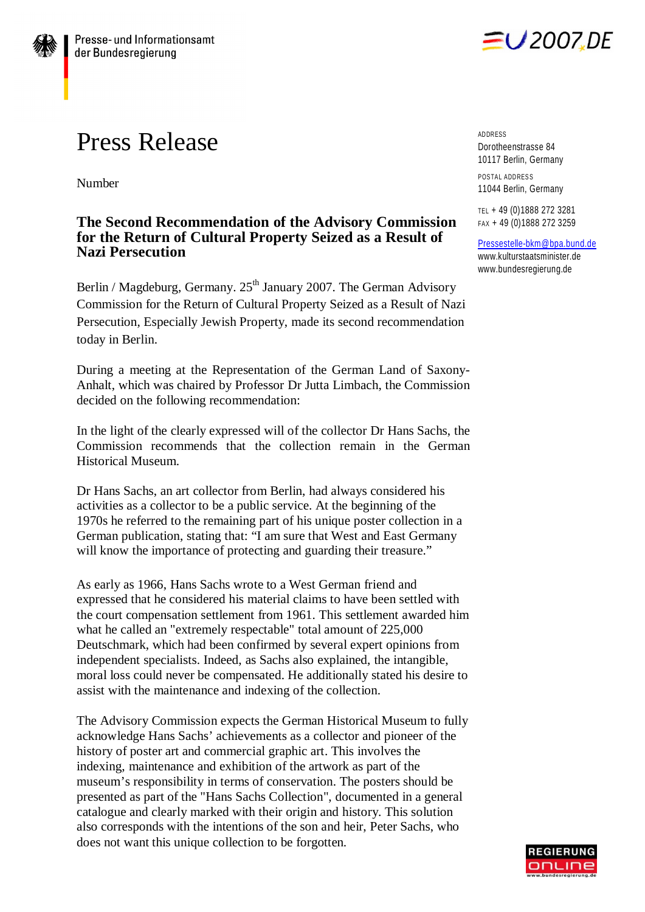## Press Release

Number

## **The Second Recommendation of the Advisory Commission for the Return of Cultural Property Seized as a Result of Nazi Persecution**

Berlin / Magdeburg, Germany.  $25<sup>th</sup>$  January 2007. The German Advisory Commission for the Return of Cultural Property Seized as a Result of Nazi Persecution, Especially Jewish Property, made its second recommendation today in Berlin.

During a meeting at the Representation of the German Land of Saxony-Anhalt, which was chaired by Professor Dr Jutta Limbach, the Commission decided on the following recommendation:

In the light of the clearly expressed will of the collector Dr Hans Sachs, the Commission recommends that the collection remain in the German Historical Museum.

Dr Hans Sachs, an art collector from Berlin, had always considered his activities as a collector to be a public service. At the beginning of the 1970s he referred to the remaining part of his unique poster collection in a German publication, stating that: "I am sure that West and East Germany will know the importance of protecting and guarding their treasure."

As early as 1966, Hans Sachs wrote to a West German friend and expressed that he considered his material claims to have been settled with the court compensation settlement from 1961. This settlement awarded him what he called an "extremely respectable" total amount of 225,000 Deutschmark, which had been confirmed by several expert opinions from independent specialists. Indeed, as Sachs also explained, the intangible, moral loss could never be compensated. He additionally stated his desire to assist with the maintenance and indexing of the collection.

The Advisory Commission expects the German Historical Museum to fully acknowledge Hans Sachs' achievements as a collector and pioneer of the history of poster art and commercial graphic art. This involves the indexing, maintenance and exhibition of the artwork as part of the museum's responsibility in terms of conservation. The posters should be presented as part of the "Hans Sachs Collection", documented in a general catalogue and clearly marked with their origin and history. This solution also corresponds with the intentions of the son and heir, Peter Sachs, who does not want this unique collection to be forgotten.

EU 2007.DE

ADDRESS Dorotheenstrasse 84 10117 Berlin, Germany POSTAL ADDRESS

11044 Berlin, Germany

TEL + 49 (0)1888 272 3281 FAX + 49 (0)1888 272 3259

[Pressestelle-bkm@bpa.bund.de](mailto:Pressestelle-bkm@bpa.bund.de) [www.kulturstaatsminister.de](http://www.kulturstaatsminister.de) [www.bundesregierung.de](http://www.bundesregierung.de)

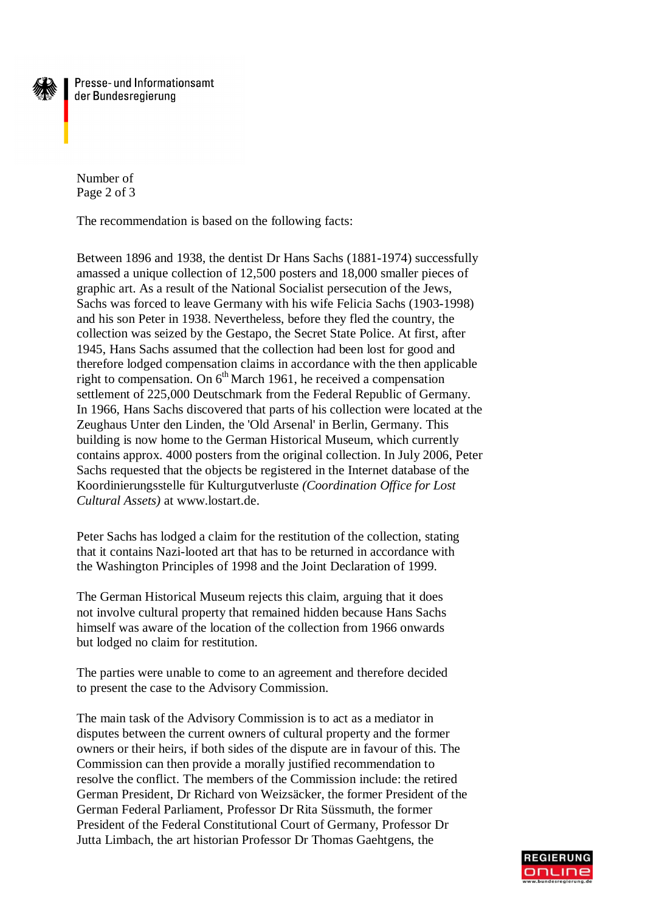

Presse- und Informationsamt der Bundesregierung

Number of Page 2 of 3

The recommendation is based on the following facts:

Between 1896 and 1938, the dentist Dr Hans Sachs (1881-1974) successfully amassed a unique collection of 12,500 posters and 18,000 smaller pieces of graphic art. As a result of the National Socialist persecution of the Jews, Sachs was forced to leave Germany with his wife Felicia Sachs (1903-1998) and his son Peter in 1938. Nevertheless, before they fled the country, the collection was seized by the Gestapo, the Secret State Police. At first, after 1945, Hans Sachs assumed that the collection had been lost for good and therefore lodged compensation claims in accordance with the then applicable right to compensation. On  $6<sup>th</sup>$  March 1961, he received a compensation settlement of 225,000 Deutschmark from the Federal Republic of Germany. In 1966, Hans Sachs discovered that parts of his collection were located at the Zeughaus Unter den Linden, the 'Old Arsenal' in Berlin, Germany. This building is now home to the German Historical Museum, which currently contains approx. 4000 posters from the original collection. In July 2006, Peter Sachs requested that the objects be registered in the Internet database of the Koordinierungsstelle für Kulturgutverluste *(Coordination Office for Lost Cultural Assets)* at [www.lostart.de.](http://www.lostart.de.)

Peter Sachs has lodged a claim for the restitution of the collection, stating that it contains Nazi-looted art that has to be returned in accordance with the Washington Principles of 1998 and the Joint Declaration of 1999.

The German Historical Museum rejects this claim, arguing that it does not involve cultural property that remained hidden because Hans Sachs himself was aware of the location of the collection from 1966 onwards but lodged no claim for restitution.

The parties were unable to come to an agreement and therefore decided to present the case to the Advisory Commission.

The main task of the Advisory Commission is to act as a mediator in disputes between the current owners of cultural property and the former owners or their heirs, if both sides of the dispute are in favour of this. The Commission can then provide a morally justified recommendation to resolve the conflict. The members of the Commission include: the retired German President, Dr Richard von Weizsäcker, the former President of the German Federal Parliament, Professor Dr Rita Süssmuth, the former President of the Federal Constitutional Court of Germany, Professor Dr Jutta Limbach, the art historian Professor Dr Thomas Gaehtgens, the